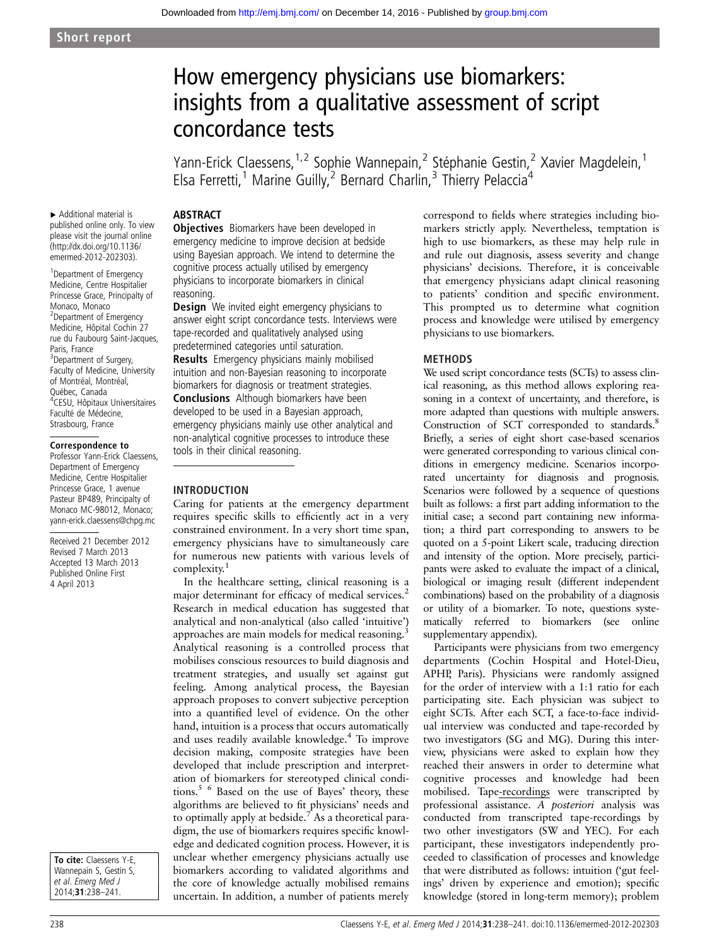# How emergency physicians use biomarkers: insights from a qualitative assessment of script concordance tests

Yann-Erick Claessens,<sup>1,2</sup> Sophie Wannepain,<sup>2</sup> Stéphanie Gestin,<sup>2</sup> Xavier Magdelein,<sup>1</sup> Elsa Ferretti,<sup>1</sup> Marine Guilly,<sup>2</sup> Bernard Charlin,<sup>3</sup> Thierry Pelaccia<sup>4</sup>

#### ▸ Additional material is published online only. To view please visit the journal online [\(http://dx.doi.org/10.1136/](http://dx.doi.org/10.1136/emermed-2012-202303) [emermed-2012-202303](http://dx.doi.org/10.1136/emermed-2012-202303)).

<sup>1</sup> Department of Emergency Medicine, Centre Hospitalier Princesse Grace, Principalty of Monaco, Monaco <sup>2</sup>Department of Emergency Medicine, Hôpital Cochin 27 rue du Faubourg Saint-Jacques, Paris, France <sup>3</sup>Department of Surgery, Faculty of Medicine, University of Montréal, Montréal, Québec, Canada 4 CESU, Hôpitaux Universitaires Faculté de Médecine, Strasbourg, France

#### Correspondence to

Professor Yann-Erick Claessens, Department of Emergency Medicine, Centre Hospitalier Princesse Grace, 1 avenue Pasteur BP489, Principalty of Monaco MC-98012, Monaco; yann-erick.claessens@chpg.mc

Received 21 December 2012 Revised 7 March 2013 Accepted 13 March 2013 Published Online First 4 April 2013

To cite: Claessens Y-E, Wannepain S, Gestin S, et al. Emerg Med J 2014;31:238–241.

# **ABSTRACT**

**Objectives** Biomarkers have been developed in emergency medicine to improve decision at bedside using Bayesian approach. We intend to determine the cognitive process actually utilised by emergency physicians to incorporate biomarkers in clinical reasoning.

Design We invited eight emergency physicians to answer eight script concordance tests. Interviews were tape-recorded and qualitatively analysed using predetermined categories until saturation.

**Results** Emergency physicians mainly mobilised intuition and non-Bayesian reasoning to incorporate biomarkers for diagnosis or treatment strategies. Conclusions Although biomarkers have been developed to be used in a Bayesian approach, emergency physicians mainly use other analytical and non-analytical cognitive processes to introduce these tools in their clinical reasoning.

## INTRODUCTION

Caring for patients at the emergency department requires specific skills to efficiently act in a very constrained environment. In a very short time span, emergency physicians have to simultaneously care for numerous new patients with various levels of complexity.<sup>1</sup>

In the healthcare setting, clinical reasoning is a major determinant for efficacy of medical services.<sup>2</sup> Research in medical education has suggested that analytical and non-analytical (also called 'intuitive') approaches are main models for medical reasoning.<sup>3</sup> Analytical reasoning is a controlled process that mobilises conscious resources to build diagnosis and treatment strategies, and usually set against gut feeling. Among analytical process, the Bayesian approach proposes to convert subjective perception into a quantified level of evidence. On the other hand, intuition is a process that occurs automatically and uses readily available knowledge.<sup>4</sup> To improve decision making, composite strategies have been developed that include prescription and interpretation of biomarkers for stereotyped clinical conditions.5 6 Based on the use of Bayes' theory, these algorithms are believed to fit physicians' needs and to optimally apply at bedside.<sup> $\vec{7}$ </sup> As a theoretical paradigm, the use of biomarkers requires specific knowledge and dedicated cognition process. However, it is unclear whether emergency physicians actually use biomarkers according to validated algorithms and the core of knowledge actually mobilised remains uncertain. In addition, a number of patients merely

correspond to fields where strategies including biomarkers strictly apply. Nevertheless, temptation is high to use biomarkers, as these may help rule in and rule out diagnosis, assess severity and change physicians' decisions. Therefore, it is conceivable that emergency physicians adapt clinical reasoning to patients' condition and specific environment. This prompted us to determine what cognition process and knowledge were utilised by emergency physicians to use biomarkers.

## METHODS

We used script concordance tests (SCTs) to assess clinical reasoning, as this method allows exploring reasoning in a context of uncertainty, and therefore, is more adapted than questions with multiple answers. Construction of SCT corresponded to standards.<sup>8</sup> Briefly, a series of eight short case-based scenarios were generated corresponding to various clinical conditions in emergency medicine. Scenarios incorporated uncertainty for diagnosis and prognosis. Scenarios were followed by a sequence of questions built as follows: a first part adding information to the initial case; a second part containing new information; a third part corresponding to answers to be quoted on a 5-point Likert scale, traducing direction and intensity of the option. More precisely, participants were asked to evaluate the impact of a clinical, biological or imaging result (different independent combinations) based on the probability of a diagnosis or utility of a biomarker. To note, questions systematically referred to biomarkers (see online [supplementary appendix\)](http://emj.bmj.com/lookup/suppl/doi:10.1136/emermed-2012-202303/-/DC1).

Participants were physicians from two emergency departments (Cochin Hospital and Hotel-Dieu, APHP, Paris). Physicians were randomly assigned for the order of interview with a 1:1 ratio for each participating site. Each physician was subject to eight SCTs. After each SCT, a face-to-face individual interview was conducted and tape-recorded by two investigators (SG and MG). During this interview, physicians were asked to explain how they reached their answers in order to determine what cognitive processes and knowledge had been mobilised. Tape-recordings were transcripted by professional assistance. A posteriori analysis was conducted from transcripted tape-recordings by two other investigators (SW and YEC). For each participant, these investigators independently proceeded to classification of processes and knowledge that were distributed as follows: intuition ('gut feelings' driven by experience and emotion); specific knowledge (stored in long-term memory); problem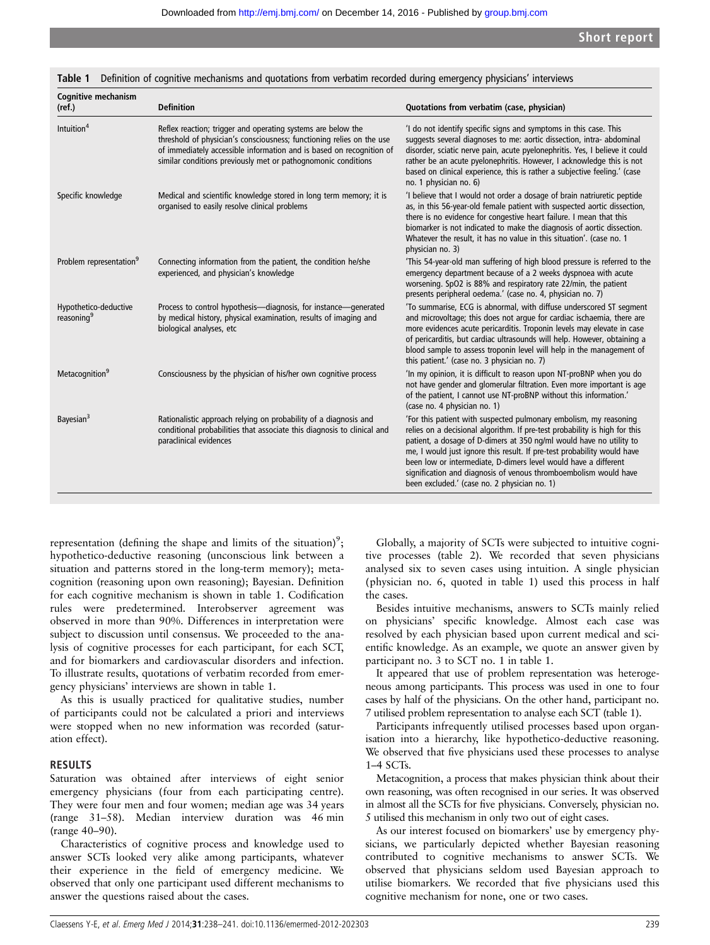| <b>Cognitive mechanism</b><br>(ref.)            | <b>Definition</b>                                                                                                                                                                                                                                                              | Quotations from verbatim (case, physician)                                                                                                                                                                                                                                                                                                                                                                                                                                               |
|-------------------------------------------------|--------------------------------------------------------------------------------------------------------------------------------------------------------------------------------------------------------------------------------------------------------------------------------|------------------------------------------------------------------------------------------------------------------------------------------------------------------------------------------------------------------------------------------------------------------------------------------------------------------------------------------------------------------------------------------------------------------------------------------------------------------------------------------|
| Intuition <sup>4</sup>                          | Reflex reaction; trigger and operating systems are below the<br>threshold of physician's consciousness; functioning relies on the use<br>of immediately accessible information and is based on recognition of<br>similar conditions previously met or pathognomonic conditions | 'I do not identify specific signs and symptoms in this case. This<br>suggests several diagnoses to me: aortic dissection, intra-abdominal<br>disorder, sciatic nerve pain, acute pyelonephritis. Yes, I believe it could<br>rather be an acute pyelonephritis. However, I acknowledge this is not<br>based on clinical experience, this is rather a subjective feeling.' (case<br>no. 1 physician no. 6)                                                                                 |
| Specific knowledge                              | Medical and scientific knowledge stored in long term memory; it is<br>organised to easily resolve clinical problems                                                                                                                                                            | 'I believe that I would not order a dosage of brain natriuretic peptide<br>as, in this 56-year-old female patient with suspected aortic dissection,<br>there is no evidence for congestive heart failure. I mean that this<br>biomarker is not indicated to make the diagnosis of aortic dissection.<br>Whatever the result, it has no value in this situation'. (case no. 1<br>physician no. 3)                                                                                         |
| Problem representation <sup>9</sup>             | Connecting information from the patient, the condition he/she<br>experienced, and physician's knowledge                                                                                                                                                                        | This 54-year-old man suffering of high blood pressure is referred to the<br>emergency department because of a 2 weeks dyspnoea with acute<br>worsening. SpO2 is 88% and respiratory rate 22/min, the patient<br>presents peripheral oedema.' (case no. 4, physician no. 7)                                                                                                                                                                                                               |
| Hypothetico-deductive<br>reasoning <sup>9</sup> | Process to control hypothesis—diagnosis, for instance—generated<br>by medical history, physical examination, results of imaging and<br>biological analyses, etc                                                                                                                | 'To summarise, ECG is abnormal, with diffuse underscored ST segment<br>and microvoltage; this does not argue for cardiac ischaemia, there are<br>more evidences acute pericarditis. Troponin levels may elevate in case<br>of pericarditis, but cardiac ultrasounds will help. However, obtaining a<br>blood sample to assess troponin level will help in the management of<br>this patient.' (case no. 3 physician no. 7)                                                               |
| Metacognition <sup>9</sup>                      | Consciousness by the physician of his/her own cognitive process                                                                                                                                                                                                                | 'In my opinion, it is difficult to reason upon NT-proBNP when you do<br>not have gender and glomerular filtration. Even more important is age<br>of the patient, I cannot use NT-proBNP without this information.'<br>(case no. 4 physician no. 1)                                                                                                                                                                                                                                       |
| Bayesian <sup>3</sup>                           | Rationalistic approach relying on probability of a diagnosis and<br>conditional probabilities that associate this diagnosis to clinical and<br>paraclinical evidences                                                                                                          | 'For this patient with suspected pulmonary embolism, my reasoning<br>relies on a decisional algorithm. If pre-test probability is high for this<br>patient, a dosage of D-dimers at 350 ng/ml would have no utility to<br>me, I would just ignore this result. If pre-test probability would have<br>been low or intermediate, D-dimers level would have a different<br>signification and diagnosis of venous thromboembolism would have<br>been excluded.' (case no. 2 physician no. 1) |

| Table 1 Definition of cognitive mechanisms and quotations from verbatim recorded during emergency physicians' interviews |  |  |  |  |
|--------------------------------------------------------------------------------------------------------------------------|--|--|--|--|
|                                                                                                                          |  |  |  |  |

representation (defining the shape and limits of the situation)<sup>9</sup>; hypothetico-deductive reasoning (unconscious link between a situation and patterns stored in the long-term memory); metacognition (reasoning upon own reasoning); Bayesian. Definition for each cognitive mechanism is shown in table 1. Codification rules were predetermined. Interobserver agreement was observed in more than 90%. Differences in interpretation were subject to discussion until consensus. We proceeded to the analysis of cognitive processes for each participant, for each SCT, and for biomarkers and cardiovascular disorders and infection. To illustrate results, quotations of verbatim recorded from emergency physicians' interviews are shown in table 1.

As this is usually practiced for qualitative studies, number of participants could not be calculated a priori and interviews were stopped when no new information was recorded (saturation effect).

#### RESULTS

Saturation was obtained after interviews of eight senior emergency physicians (four from each participating centre). They were four men and four women; median age was 34 years (range 31–58). Median interview duration was 46 min (range 40–90).

Characteristics of cognitive process and knowledge used to answer SCTs looked very alike among participants, whatever their experience in the field of emergency medicine. We observed that only one participant used different mechanisms to answer the questions raised about the cases.

Globally, a majority of SCTs were subjected to intuitive cognitive processes (table 2). We recorded that seven physicians analysed six to seven cases using intuition. A single physician (physician no. 6, quoted in table 1) used this process in half the cases.

Besides intuitive mechanisms, answers to SCTs mainly relied on physicians' specific knowledge. Almost each case was resolved by each physician based upon current medical and scientific knowledge. As an example, we quote an answer given by participant no. 3 to SCT no. 1 in table 1.

It appeared that use of problem representation was heterogeneous among participants. This process was used in one to four cases by half of the physicians. On the other hand, participant no. 7 utilised problem representation to analyse each SCT (table 1).

Participants infrequently utilised processes based upon organisation into a hierarchy, like hypothetico-deductive reasoning. We observed that five physicians used these processes to analyse 1–4 SCTs.

Metacognition, a process that makes physician think about their own reasoning, was often recognised in our series. It was observed in almost all the SCTs for five physicians. Conversely, physician no. 5 utilised this mechanism in only two out of eight cases.

As our interest focused on biomarkers' use by emergency physicians, we particularly depicted whether Bayesian reasoning contributed to cognitive mechanisms to answer SCTs. We observed that physicians seldom used Bayesian approach to utilise biomarkers. We recorded that five physicians used this cognitive mechanism for none, one or two cases.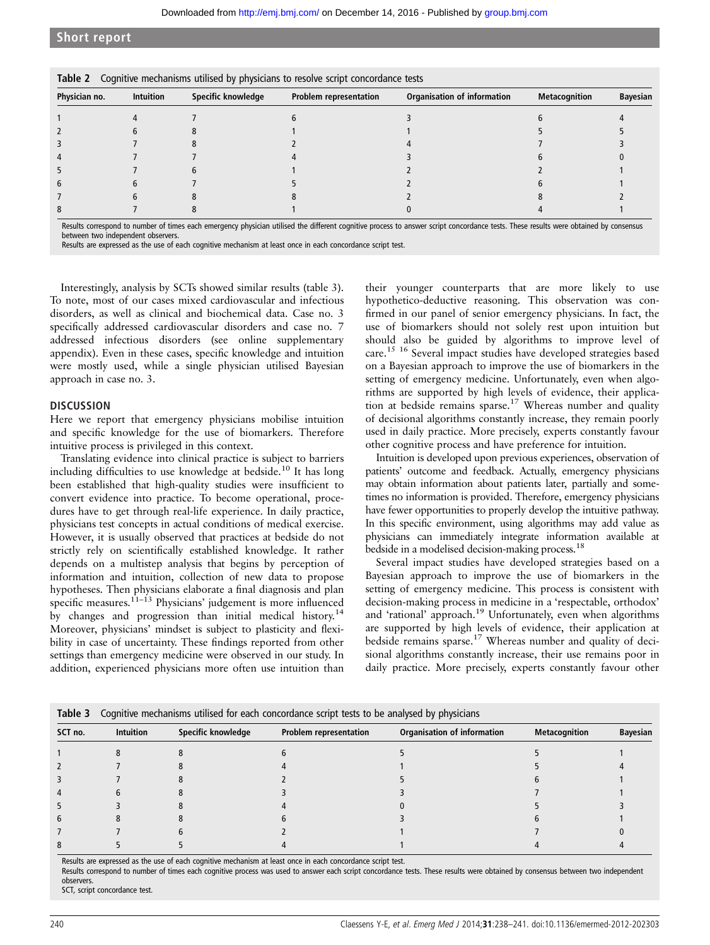Short report

| Physician no. | <b>Intuition</b> | Specific knowledge | <b>Problem representation</b> | Organisation of information | <b>Metacognition</b> | <b>Bayesian</b> |
|---------------|------------------|--------------------|-------------------------------|-----------------------------|----------------------|-----------------|
|               |                  |                    |                               |                             |                      |                 |
|               |                  |                    |                               |                             |                      |                 |
|               |                  |                    |                               |                             |                      |                 |
|               |                  |                    |                               |                             |                      |                 |
|               |                  |                    |                               |                             |                      |                 |
|               |                  |                    |                               |                             |                      |                 |
|               |                  |                    |                               |                             |                      |                 |
|               |                  |                    |                               |                             |                      |                 |

Results correspond to number of times each emergency physician utilised the different cognitive process to answer script concordance tests. These results were obtained by consensus between two independent observers.

Results are expressed as the use of each cognitive mechanism at least once in each concordance script test.

Interestingly, analysis by SCTs showed similar results (table 3). To note, most of our cases mixed cardiovascular and infectious disorders, as well as clinical and biochemical data. Case no. 3 specifically addressed cardiovascular disorders and case no. 7 addressed infectious disorders (see online [supplementary](http://emj.bmj.com/lookup/suppl/doi:10.1136/emermed-2012-202303/-/DC1) [appendix](http://emj.bmj.com/lookup/suppl/doi:10.1136/emermed-2012-202303/-/DC1)). Even in these cases, specific knowledge and intuition were mostly used, while a single physician utilised Bayesian approach in case no. 3.

#### **DISCUSSION**

Here we report that emergency physicians mobilise intuition and specific knowledge for the use of biomarkers. Therefore intuitive process is privileged in this context.

Translating evidence into clinical practice is subject to barriers including difficulties to use knowledge at bedside.<sup>10</sup> It has long been established that high-quality studies were insufficient to convert evidence into practice. To become operational, procedures have to get through real-life experience. In daily practice, physicians test concepts in actual conditions of medical exercise. However, it is usually observed that practices at bedside do not strictly rely on scientifically established knowledge. It rather depends on a multistep analysis that begins by perception of information and intuition, collection of new data to propose hypotheses. Then physicians elaborate a final diagnosis and plan specific measures.<sup>11–13</sup> Physicians' judgement is more influenced by changes and progression than initial medical history.<sup>14</sup> Moreover, physicians' mindset is subject to plasticity and flexibility in case of uncertainty. These findings reported from other settings than emergency medicine were observed in our study. In addition, experienced physicians more often use intuition than

their younger counterparts that are more likely to use hypothetico-deductive reasoning. This observation was confirmed in our panel of senior emergency physicians. In fact, the use of biomarkers should not solely rest upon intuition but should also be guided by algorithms to improve level of care.<sup>15</sup> <sup>16</sup> Several impact studies have developed strategies based on a Bayesian approach to improve the use of biomarkers in the setting of emergency medicine. Unfortunately, even when algorithms are supported by high levels of evidence, their application at bedside remains sparse.<sup>17</sup> Whereas number and quality of decisional algorithms constantly increase, they remain poorly used in daily practice. More precisely, experts constantly favour other cognitive process and have preference for intuition.

Intuition is developed upon previous experiences, observation of patients' outcome and feedback. Actually, emergency physicians may obtain information about patients later, partially and sometimes no information is provided. Therefore, emergency physicians have fewer opportunities to properly develop the intuitive pathway. In this specific environment, using algorithms may add value as physicians can immediately integrate information available at bedside in a modelised decision-making process.<sup>18</sup>

Several impact studies have developed strategies based on a Bayesian approach to improve the use of biomarkers in the setting of emergency medicine. This process is consistent with decision-making process in medicine in a 'respectable, orthodox' and 'rational' approach.<sup>19</sup> Unfortunately, even when algorithms are supported by high levels of evidence, their application at bedside remains sparse.<sup>17</sup> Whereas number and quality of decisional algorithms constantly increase, their use remains poor in daily practice. More precisely, experts constantly favour other

| Table 3 Cognitive mechanisms utilised for each concordance script tests to be analysed by physicians |                  |                    |                        |                             |                      |                 |
|------------------------------------------------------------------------------------------------------|------------------|--------------------|------------------------|-----------------------------|----------------------|-----------------|
| SCT no.                                                                                              | <b>Intuition</b> | Specific knowledge | Problem representation | Organisation of information | <b>Metacognition</b> | <b>Bayesian</b> |
|                                                                                                      |                  |                    |                        |                             |                      |                 |
|                                                                                                      |                  |                    |                        |                             |                      |                 |
|                                                                                                      |                  |                    |                        |                             |                      |                 |
|                                                                                                      |                  |                    |                        |                             |                      |                 |
|                                                                                                      |                  |                    |                        |                             |                      |                 |
|                                                                                                      |                  |                    |                        |                             |                      |                 |
|                                                                                                      |                  |                    |                        |                             |                      |                 |
|                                                                                                      |                  |                    |                        |                             |                      |                 |

Results are expressed as the use of each cognitive mechanism at least once in each concordance script test.

Results correspond to number of times each cognitive process was used to answer each script concordance tests. These results were obtained by consensus between two independent observers.

SCT, script concordance test.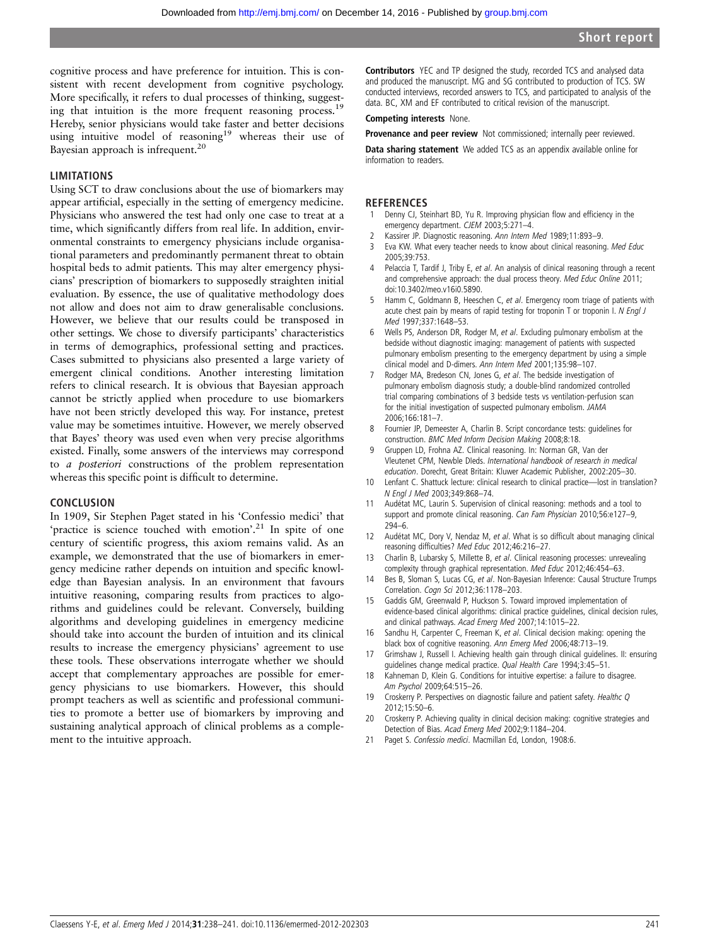cognitive process and have preference for intuition. This is consistent with recent development from cognitive psychology. More specifically, it refers to dual processes of thinking, suggesting that intuition is the more frequent reasoning process.<sup>19</sup> Hereby, senior physicians would take faster and better decisions using intuitive model of reasoning<sup>19</sup> whereas their use of Bayesian approach is infrequent.<sup>20</sup>

#### LIMITATIONS

Using SCT to draw conclusions about the use of biomarkers may appear artificial, especially in the setting of emergency medicine. Physicians who answered the test had only one case to treat at a time, which significantly differs from real life. In addition, environmental constraints to emergency physicians include organisational parameters and predominantly permanent threat to obtain hospital beds to admit patients. This may alter emergency physicians' prescription of biomarkers to supposedly straighten initial evaluation. By essence, the use of qualitative methodology does not allow and does not aim to draw generalisable conclusions. However, we believe that our results could be transposed in other settings. We chose to diversify participants' characteristics in terms of demographics, professional setting and practices. Cases submitted to physicians also presented a large variety of emergent clinical conditions. Another interesting limitation refers to clinical research. It is obvious that Bayesian approach cannot be strictly applied when procedure to use biomarkers have not been strictly developed this way. For instance, pretest value may be sometimes intuitive. However, we merely observed that Bayes' theory was used even when very precise algorithms existed. Finally, some answers of the interviews may correspond to a posteriori constructions of the problem representation whereas this specific point is difficult to determine.

#### **CONCLUSION**

In 1909, Sir Stephen Paget stated in his 'Confessio medici' that 'practice is science touched with emotion'.<sup>21</sup> In spite of one century of scientific progress, this axiom remains valid. As an example, we demonstrated that the use of biomarkers in emergency medicine rather depends on intuition and specific knowledge than Bayesian analysis. In an environment that favours intuitive reasoning, comparing results from practices to algorithms and guidelines could be relevant. Conversely, building algorithms and developing guidelines in emergency medicine should take into account the burden of intuition and its clinical results to increase the emergency physicians' agreement to use these tools. These observations interrogate whether we should accept that complementary approaches are possible for emergency physicians to use biomarkers. However, this should prompt teachers as well as scientific and professional communities to promote a better use of biomarkers by improving and sustaining analytical approach of clinical problems as a complement to the intuitive approach.

Contributors YEC and TP designed the study, recorded TCS and analysed data and produced the manuscript. MG and SG contributed to production of TCS. SW conducted interviews, recorded answers to TCS, and participated to analysis of the data. BC, XM and EF contributed to critical revision of the manuscript.

#### Competing interests None.

Provenance and peer review Not commissioned; internally peer reviewed.

Data sharing statement We added TCS as an appendix available online for information to readers.

#### **REFERENCES**

- 1 Denny CJ, Steinhart BD, Yu R. Improving physician flow and efficiency in the emergency department. CJEM 2003;5:271-4.
- 2 Kassirer JP. Diagnostic reasoning. Ann Intern Med 1989;11:893–9.
- 3 Eva KW. What every teacher needs to know about clinical reasoning. Med Educ 2005;39:753.
- 4 Pelaccia T, Tardif J, Triby E, et al. An analysis of clinical reasoning through a recent and comprehensive approach: the dual process theory. Med Educ Online 2011; doi[:10.3402/meo.v16i0.5890](http://dx.doi.org/10.3402/meo.v16i0.5890).
- Hamm C, Goldmann B, Heeschen C, et al. Emergency room triage of patients with acute chest pain by means of rapid testing for troponin T or troponin I. N Engl J Med 1997;337:1648–53.
- Wells PS, Anderson DR, Rodger M, et al. Excluding pulmonary embolism at the bedside without diagnostic imaging: management of patients with suspected pulmonary embolism presenting to the emergency department by using a simple clinical model and D-dimers. Ann Intern Med 2001;135:98–107.
- Rodger MA, Bredeson CN, Jones G, et al. The bedside investigation of pulmonary embolism diagnosis study; a double-blind randomized controlled trial comparing combinations of 3 bedside tests vs ventilation-perfusion scan for the initial investigation of suspected pulmonary embolism. JAMA 2006;166:181–7.
- 8 Fournier JP, Demeester A, Charlin B. Script concordance tests: guidelines for construction. BMC Med Inform Decision Making 2008;8:18.
- Gruppen LD, Frohna AZ. Clinical reasoning. In: Norman GR, Van der Vleutenet CPM, Newble DIeds. International handbook of research in medical education. Dorecht, Great Britain: Kluwer Academic Publisher, 2002:205–30.
- 10 Lenfant C. Shattuck lecture: clinical research to clinical practice—lost in translation? N Engl J Med 2003;349:868–74.
- 11 Audétat MC, Laurin S. Supervision of clinical reasoning: methods and a tool to support and promote clinical reasoning. Can Fam Physician 2010;56:e127-9, 294–6.
- 12 Audétat MC, Dory V, Nendaz M, et al. What is so difficult about managing clinical reasoning difficulties? Med Educ 2012;46:216–27.
- Charlin B, Lubarsky S, Millette B, et al. Clinical reasoning processes: unrevealing complexity through graphical representation. Med Educ 2012;46:454–63.
- 14 Bes B, Sloman S, Lucas CG, et al. Non-Bayesian Inference: Causal Structure Trumps Correlation. Cogn Sci 2012;36:1178–203.
- 15 Gaddis GM, Greenwald P, Huckson S. Toward improved implementation of evidence-based clinical algorithms: clinical practice guidelines, clinical decision rules, and clinical pathways. Acad Emerg Med 2007;14:1015–22.
- 16 Sandhu H, Carpenter C, Freeman K, et al. Clinical decision making: opening the black box of cognitive reasoning. Ann Emerg Med 2006;48:713–19.
- 17 Grimshaw J, Russell I. Achieving health gain through clinical guidelines. II: ensuring guidelines change medical practice. Qual Health Care 1994;3:45-51.
- 18 Kahneman D, Klein G. Conditions for intuitive expertise: a failure to disagree. Am Psychol 2009;64:515–26.
- 19 Croskerry P. Perspectives on diagnostic failure and patient safety. Healthc Q 2012;15:50–6.
- 20 Croskerry P. Achieving quality in clinical decision making: cognitive strategies and Detection of Bias. Acad Emerg Med 2002;9:1184–204.
- 21 Paget S. Confessio medici. Macmillan Ed, London, 1908:6.